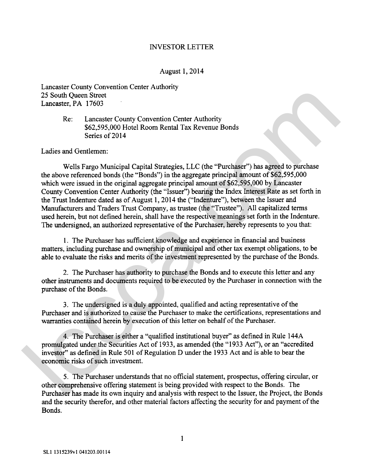## INVESTOR LETTER

## August 1,2014

Lancaster County Convention Center Authority 25 South Queen Street Lancaster, PA 17603

## Re: Lancaster County Convention Center Authority \$62,595,000 Hotel Room Rental Tax Revenue Bonds Series of 2014

Ladies and Gentlemen:

Wells Fargo Municipal Capital Strategies, LLC (the "Purchaser") has agreed to purchase the above referenced bonds (the "Bonds") in the aggregate principal amount of \$62,595,000 which were issued in the original aggregate principal amount of \$62,595,000 by Lancaster County Convention Center Authority (the "Issuer") bearing the Index Interest Rate as set forth in the Trust Indenture dated as of August 1,20 14 the ("Indenture"), between the Issuer and Manufacturers and Traders Trust Company, as trustee (the "Trustee"). All capitalized terms used herein, but not defined herein, shall have the respective meanings set forth in the Indenture. The undersigned, an authorized representative of the Purchaser, hereby represents to you that: 2.5 South Queen Street<br>
Laneaster County Convention Center Authority<br>
Rec. 2.8 South Queen Roots<br>
Rec. 2.8 Sec.<br>
Rec. 2.8 Sec.<br>
17603<br>
Sec.<br>
2.6 Sec. 253,000 Hotel Room Rental Tax Revenue Bonds<br>
Series of 2014<br>
Ladies and

1. The Purchaser has sufficient knowledge and experience in financial and business matters, including purchase and ownership of municipal and other **tax** exempt obligations, to be able to evaluate the risks and merits of the investment represented by the purchase of the Bonds.

2. The Purchaser has authority to purchase the Bonds and to execute this letter and any other instruments and documents required to be executed by the Purchaser in connection with the purchase of the Bonds.

**3.** The undersigned is a duly appointed, qualified and acting representative of the Purchaser and is authorized to cause the Purchaser to make the certifications, representations and warranties contained herein by execution of this letter on behalf of the Purchaser.

4. The Purchaser is either a "qualified institutional buyer" as defined in Rule 144A promulgated under the Securities Act of 1933, as amended (the "1933 Act"), or an "accredited investor" as defined in Rule 501 of Regulation D under the 1933 Act and is able to bear the economic risks of such investment.

5. The Purchaser understands that no official statement, prospectus, offering circular, or other comprehensive offering statement is being provided with respect to the Bonds. The Purchaser has made its own inquiry and analysis with respect to the Issuer, the Project, the Bonds and the security therefor, and other material factors affecting the security for and payment of the Bonds.